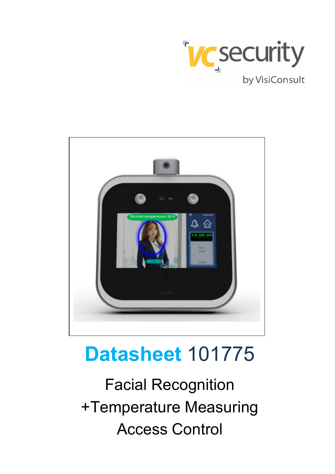



# **Datasheet** 101775

Facial Recognition +Temperature Measuring Access Control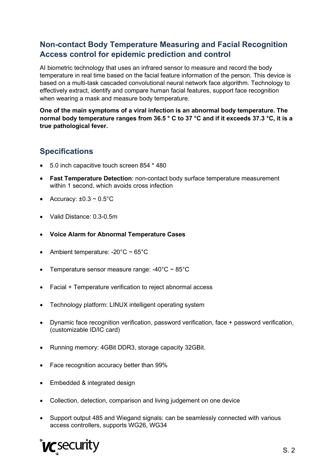#### **Non-contact Body Temperature Measuring and Facial Recognition Access control for epidemic prediction and control**

AI biometric technology that uses an infrared sensor to measure and record the body temperature in real time based on the facial feature information of the person. This device is based on a multi-task cascaded convolutional neural network face algorithm. Technology to effectively extract, identify and compare human facial features, support face recognition when wearing a mask and measure body temperature.

**One of the main symptoms of a viral infection is an abnormal body temperature. The normal body temperature ranges from 36.5 ° C to 37 °C and if it exceeds 37.3 °C, it is a true pathological fever.**

#### **Specifications**

- 5.0 inch capacitive touch screen 854 \* 480
- **Fast Temperature Detection**: non-contact body surface temperature measurement within 1 second, which avoids cross infection
- Accuracy:  $\pm 0.3 \sim 0.5^{\circ}$ C
- Valid Distance: 0.3-0.5m
- **Voice Alarm for Abnormal Temperature Cases**
- Ambient temperature: -20 $^{\circ}$ C ~ 65 $^{\circ}$ C
- Temperature sensor measure range:  $-40^{\circ}$ C ~ 85 $^{\circ}$ C
- Facial + Temperature verification to reject abnormal access
- Technology platform: LINUX intelligent operating system
- Dynamic face recognition verification, password verification, face + password verification, (customizable ID/IC card)
- Running memory: 4GBit DDR3, storage capacity 32GBit.
- Face recognition accuracy better than 99%
- Embedded & integrated design
- Collection, detection, comparison and living judgement on one device
- Support output 485 and Wiegand signals: can be seamlessly connected with various access controllers, supports WG26, WG34

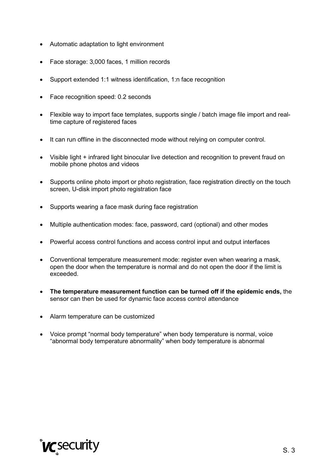- Automatic adaptation to light environment
- Face storage: 3,000 faces, 1 million records
- Support extended 1:1 witness identification, 1:n face recognition
- Face recognition speed: 0.2 seconds
- Flexible way to import face templates, supports single / batch image file import and realtime capture of registered faces
- It can run offline in the disconnected mode without relying on computer control.
- Visible light + infrared light binocular live detection and recognition to prevent fraud on mobile phone photos and videos
- Supports online photo import or photo registration, face registration directly on the touch screen, U-disk import photo registration face
- Supports wearing a face mask during face registration
- Multiple authentication modes: face, password, card (optional) and other modes
- Powerful access control functions and access control input and output interfaces
- Conventional temperature measurement mode: register even when wearing a mask, open the door when the temperature is normal and do not open the door if the limit is exceeded.
- **The temperature measurement function can be turned off if the epidemic ends,** the sensor can then be used for dynamic face access control attendance
- Alarm temperature can be customized
- Voice prompt "normal body temperature" when body temperature is normal, voice "abnormal body temperature abnormality" when body temperature is abnormal

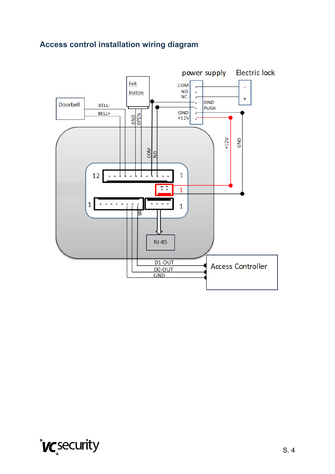### **Access control installation wiring diagram**



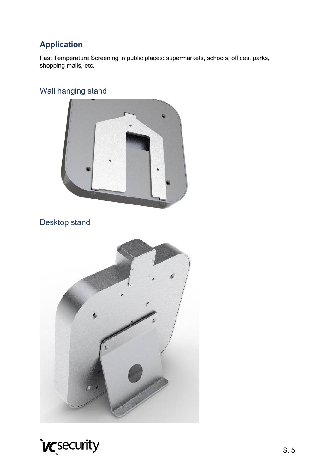### **Application**

Fast Temperature Screening in public places: supermarkets, schools, offices, parks, shopping malls, etc.

### Wall hanging stand



## Desktop stand